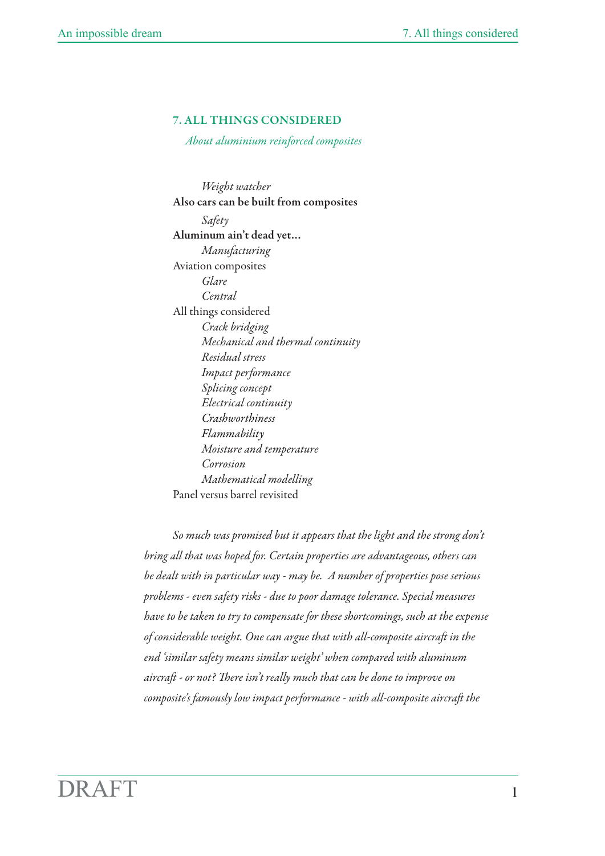# 7. ALL THINGS CONSIDERED

 *About aluminium reinforced composites*

*Weight watcher* Also cars can be built from composites *Safety* Aluminum ain't dead yet… *Manufacturing*  Aviation composites *Glare Central* All things considered *Crack bridging Mechanical and thermal continuity Residual stress Impact performance Splicing concept Electrical continuity Crashworthiness Flammability Moisture and temperature Corrosion Mathematical modelling* Panel versus barrel revisited

*So much was promised but it appears that the light and the strong don't bring all that was hoped for. Certain properties are advantageous, others can be dealt with in particular way - may be. A number of properties pose serious problems - even safety risks - due to poor damage tolerance. Special measures have to be taken to try to compensate for these shortcomings, such at the expense of considerable weight. One can argue that with all-composite aircra in the end 'similar safety means similar weight' when compared with aluminum*  aircraft - or not? There isn't really much that can be done to improve on *composite's famously low impact performance - with all-composite aircraft the*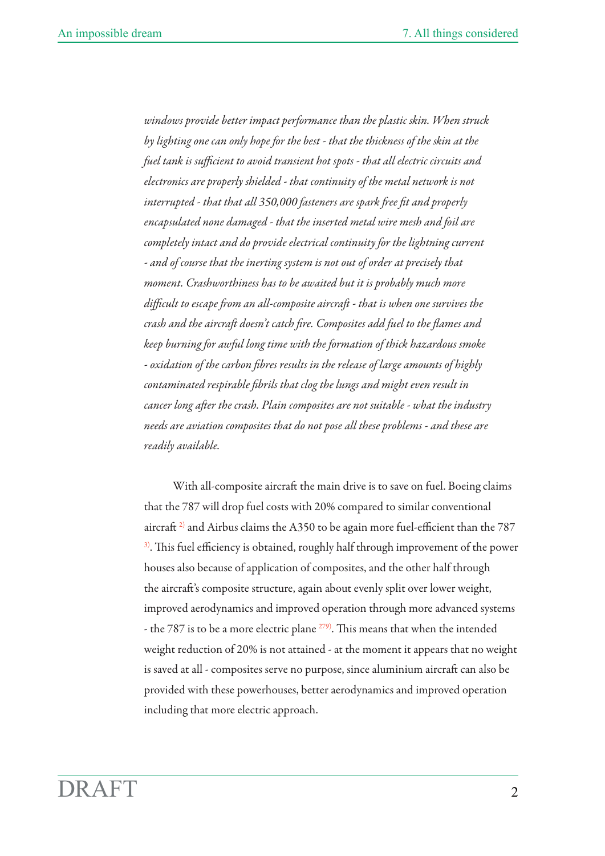windows provide better impact performance than the plastic skin. When struck *by lighting one can only hope for the best - that the thickness of the skin at the fuel tank is sufficient to avoid transient hot spots - that all electric circuits and electronics are properly shielded - that continuity of the metal network is not interrupted - that that all 350,000 fasteners are spark free fit and properly encapsulated none damaged - that the inserted metal wire mesh and foil are*  completely intact and do provide electrical continuity for the lightning current *- and of course that the inerting system is not out of order at precisely that moment. Crashworthiness has to be awaited but it is probably much more difficult to escape from an all-composite aircraft - that is when one survives the crash and the aircraft doesn't catch fire. Composites add fuel to the flames and keep burning for awful long time with the formation of thick hazardous smoke - oxidation of the carbon fibres results in the release of large amounts of highly contaminated respirable fibrils that clog the lungs and might even result in cancer long after the crash. Plain composites are not suitable - what the industry needs are aviation composites that do not pose all these problems - and these are readily available.*

With all-composite aircraft the main drive is to save on fuel. Boeing claims that the 787 will drop fuel costs with 20% compared to similar conventional aircraft<sup>2)</sup> and Airbus claims the A350 to be again more fuel-efficient than the  $787$  $3$ ). This fuel efficiency is obtained, roughly half through improvement of the power houses also because of application of composites, and the other half through the aircraft's composite structure, again about evenly split over lower weight, improved aerodynamics and improved operation through more advanced systems - the 787 is to be a more electric plane  $279$ . This means that when the intended weight reduction of 20% is not attained - at the moment it appears that no weight is saved at all - composites serve no purpose, since aluminium aircraft can also be provided with these powerhouses, better aerodynamics and improved operation including that more electric approach.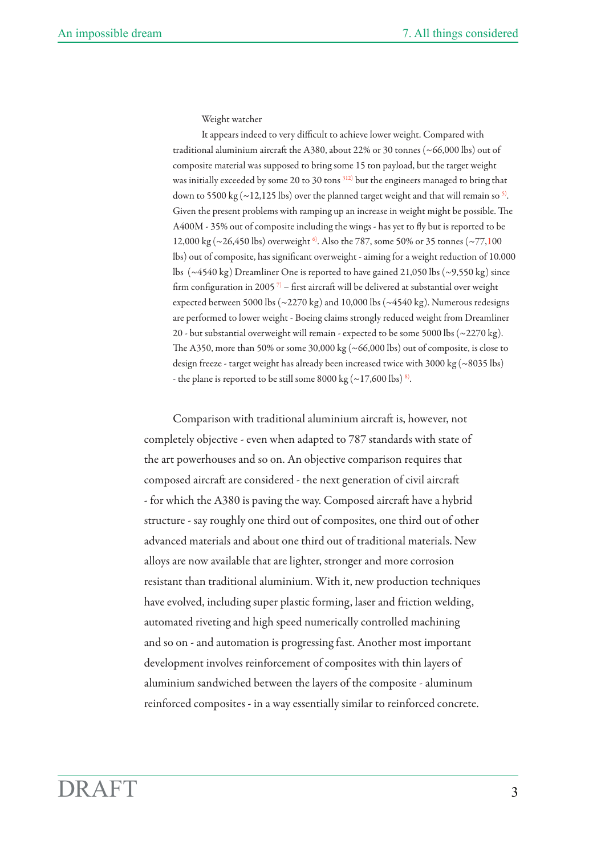Weight watcher

It appears indeed to very difficult to achieve lower weight. Compared with traditional aluminium aircraft the A380, about 22% or 30 tonnes ( $\sim$ 66,000 lbs) out of composite material was supposed to bring some 15 ton payload, but the target weight was initially exceeded by some 20 to 30 tons 312) but the engineers managed to bring that down to 5500 kg ( $\sim$ 12,125 lbs) over the planned target weight and that will remain so <sup>5)</sup>. Given the present problems with ramping up an increase in weight might be possible. The A400M - 35% out of composite including the wings - has yet to fly but is reported to be 12,000 kg ( $\sim$ 26,450 lbs) overweight <sup>6</sup>. Also the 787, some 50% or 35 tonnes ( $\sim$ 77,100 lbs) out of composite, has significant overweight - aiming for a weight reduction of 10.000 lbs (~4540 kg) Dreamliner One is reported to have gained 21,050 lbs (~9,550 kg) since firm configuration in 2005<sup>7)</sup> – first aircraft will be delivered at substantial over weight expected between 5000 lbs ( $\sim$ 2270 kg) and 10,000 lbs ( $\sim$ 4540 kg). Numerous redesigns are performed to lower weight - Boeing claims strongly reduced weight from Dreamliner 20 - but substantial overweight will remain - expected to be some 5000 lbs (~2270 kg). The A350, more than 50% or some 30,000 kg ( $\sim$  66,000 lbs) out of composite, is close to design freeze - target weight has already been increased twice with 3000 kg (~8035 lbs) - the plane is reported to be still some  $8000 \text{ kg} (-17,600 \text{ lbs}) ^8$ .

Comparison with traditional aluminium aircraft is, however, not completely objective - even when adapted to 787 standards with state of the art powerhouses and so on. An objective comparison requires that composed aircraft are considered - the next generation of civil aircraft - for which the A380 is paving the way. Composed aircraft have a hybrid structure - say roughly one third out of composites, one third out of other advanced materials and about one third out of traditional materials. New alloys are now available that are lighter, stronger and more corrosion resistant than traditional aluminium. With it, new production techniques have evolved, including super plastic forming, laser and friction welding, automated riveting and high speed numerically controlled machining and so on - and automation is progressing fast. Another most important development involves reinforcement of composites with thin layers of aluminium sandwiched between the layers of the composite - aluminum reinforced composites - in a way essentially similar to reinforced concrete.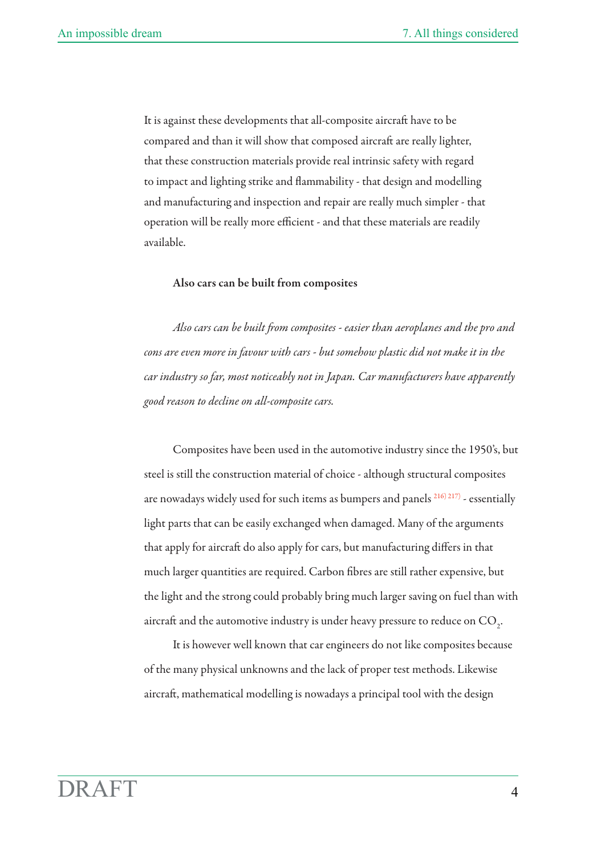It is against these developments that all-composite aircraft have to be compared and than it will show that composed aircraft are really lighter, that these construction materials provide real intrinsic safety with regard to impact and lighting strike and flammability - that design and modelling and manufacturing and inspection and repair are really much simpler - that operation will be really more efficient - and that these materials are readily available.

#### Also cars can be built from composites

Also cars can be built from composites - easier than aeroplanes and the pro and *cons are even more in favour with cars - but somehow plastic did not make it in the car industry so far, most noticeably not in Japan. Car manufacturers have apparently good reason to decline on all-composite cars.*

Composites have been used in the automotive industry since the 1950's, but steel is still the construction material of choice - although structural composites are nowadays widely used for such items as bumpers and panels 216) 217) - essentially light parts that can be easily exchanged when damaged. Many of the arguments that apply for aircraft do also apply for cars, but manufacturing differs in that much larger quantities are required. Carbon fibres are still rather expensive, but the light and the strong could probably bring much larger saving on fuel than with aircraft and the automotive industry is under heavy pressure to reduce on  $\mathrm{CO}_2$ .

It is however well known that car engineers do not like composites because of the many physical unknowns and the lack of proper test methods. Likewise aircraft, mathematical modelling is nowadays a principal tool with the design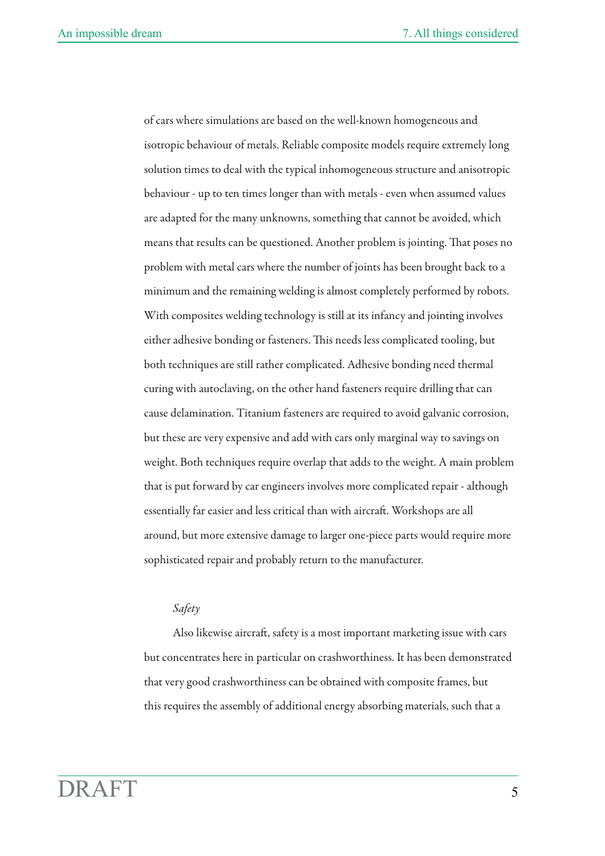of cars where simulations are based on the well-known homogeneous and isotropic behaviour of metals. Reliable composite models require extremely long solution times to deal with the typical inhomogeneous structure and anisotropic behaviour - up to ten times longer than with metals - even when assumed values are adapted for the many unknowns, something that cannot be avoided, which means that results can be questioned. Another problem is jointing. That poses no problem with metal cars where the number of joints has been brought back to a minimum and the remaining welding is almost completely performed by robots. With composites welding technology is still at its infancy and jointing involves either adhesive bonding or fasteners. This needs less complicated tooling, but both techniques are still rather complicated. Adhesive bonding need thermal curing with autoclaving, on the other hand fasteners require drilling that can cause delamination. Titanium fasteners are required to avoid galvanic corrosion, but these are very expensive and add with cars only marginal way to savings on weight. Both techniques require overlap that adds to the weight. A main problem that is put forward by car engineers involves more complicated repair - although essentially far easier and less critical than with aircraft. Workshops are all around, but more extensive damage to larger one-piece parts would require more sophisticated repair and probably return to the manufacturer.

## *Safety*

Also likewise aircraft, safety is a most important marketing issue with cars but concentrates here in particular on crashworthiness. It has been demonstrated that very good crashworthiness can be obtained with composite frames, but this requires the assembly of additional energy absorbing materials, such that a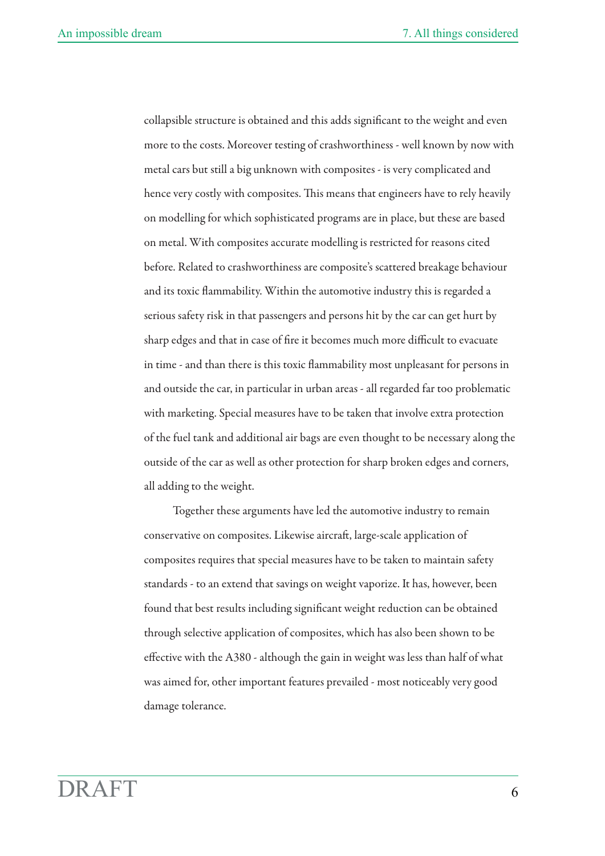collapsible structure is obtained and this adds significant to the weight and even more to the costs. Moreover testing of crashworthiness - well known by now with metal cars but still a big unknown with composites - is very complicated and hence very costly with composites. This means that engineers have to rely heavily on modelling for which sophisticated programs are in place, but these are based on metal. With composites accurate modelling is restricted for reasons cited before. Related to crashworthiness are composite's scattered breakage behaviour and its toxic flammability. Within the automotive industry this is regarded a serious safety risk in that passengers and persons hit by the car can get hurt by sharp edges and that in case of fire it becomes much more difficult to evacuate in time - and than there is this toxic flammability most unpleasant for persons in and outside the car, in particular in urban areas - all regarded far too problematic with marketing. Special measures have to be taken that involve extra protection of the fuel tank and additional air bags are even thought to be necessary along the outside of the car as well as other protection for sharp broken edges and corners, all adding to the weight.

Together these arguments have led the automotive industry to remain conservative on composites. Likewise aircraft, large-scale application of composites requires that special measures have to be taken to maintain safety standards - to an extend that savings on weight vaporize. It has, however, been found that best results including significant weight reduction can be obtained through selective application of composites, which has also been shown to be effective with the A380 - although the gain in weight was less than half of what was aimed for, other important features prevailed - most noticeably very good damage tolerance.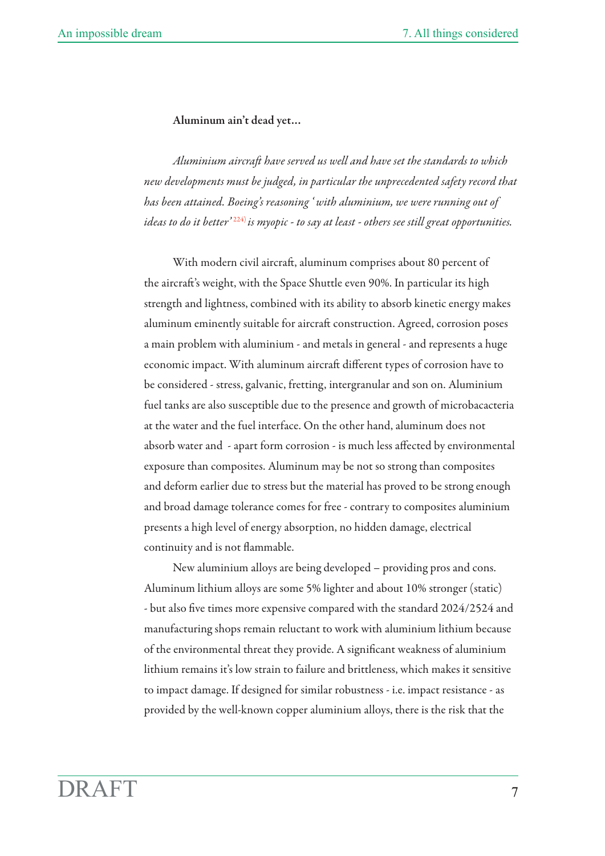## Aluminum ain't dead yet…

*Aluminium aircra have served us well and have set the standards to which new developments must be judged, in particular the unprecedented safety record that has been attained. Boeing's reasoning ' with aluminium, we were running out of ideas to do it better'* 224) *is myopic - to say at least - others see still great opportunities.*

With modern civil aircraft, aluminum comprises about 80 percent of the aircraft's weight, with the Space Shuttle even 90%. In particular its high strength and lightness, combined with its ability to absorb kinetic energy makes aluminum eminently suitable for aircraft construction. Agreed, corrosion poses a main problem with aluminium - and metals in general - and represents a huge economic impact. With aluminum aircraft different types of corrosion have to be considered - stress, galvanic, fretting, intergranular and son on. Aluminium fuel tanks are also susceptible due to the presence and growth of microbacacteria at the water and the fuel interface. On the other hand, aluminum does not absorb water and - apart form corrosion - is much less affected by environmental exposure than composites. Aluminum may be not so strong than composites and deform earlier due to stress but the material has proved to be strong enough and broad damage tolerance comes for free - contrary to composites aluminium presents a high level of energy absorption, no hidden damage, electrical continuity and is not flammable.

New aluminium alloys are being developed – providing pros and cons. Aluminum lithium alloys are some 5% lighter and about 10% stronger (static) - but also five times more expensive compared with the standard 2024/2524 and manufacturing shops remain reluctant to work with aluminium lithium because of the environmental threat they provide. A significant weakness of aluminium lithium remains it's low strain to failure and brittleness, which makes it sensitive to impact damage. If designed for similar robustness - i.e. impact resistance - as provided by the well-known copper aluminium alloys, there is the risk that the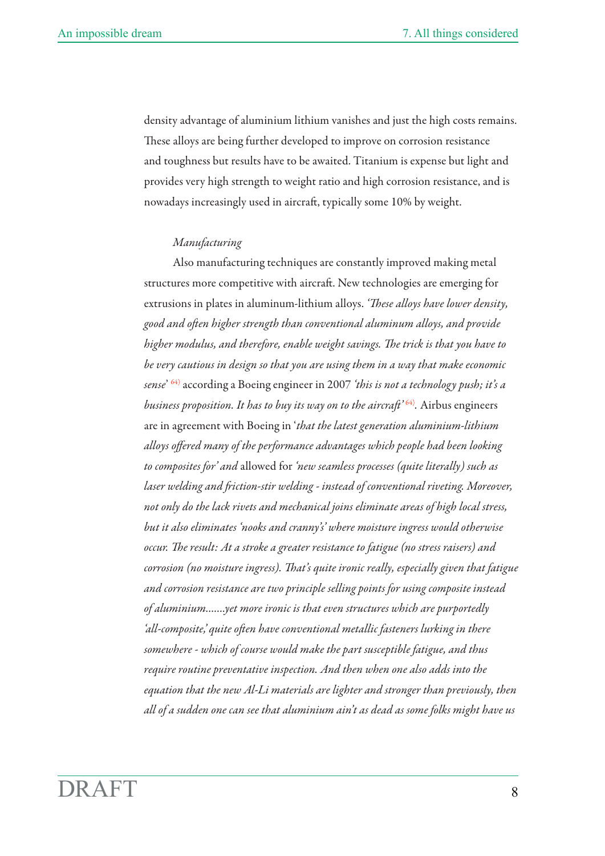density advantage of aluminium lithium vanishes and just the high costs remains. These alloys are being further developed to improve on corrosion resistance and toughness but results have to be awaited. Titanium is expense but light and provides very high strength to weight ratio and high corrosion resistance, and is nowadays increasingly used in aircraft, typically some 10% by weight.

### *Manufacturing*

Also manufacturing techniques are constantly improved making metal structures more competitive with aircraft. New technologies are emerging for extrusions in plates in aluminum-lithium alloys. 'These alloys have lower density, *good and oen higher strength than conentional aluminum alloys, and proide*  higher modulus, and therefore, enable weight savings. The trick is that you have to *be very cautious in design so that you are using them in a way that make economic sense*' 64) according a Boeing engineer in 2007 *'this is not a technology push; it's a business proposition. It has to buy its way on to the aircraft*<sup>264)</sup>. Airbus engineers are in agreement with Boeing in '*that the latest generation aluminium-lithium alloys offered many of the performance advantages which people had been looking to composites for' and* allowed for *'new seamless processes (quite literally) such as*  laser welding and friction-stir welding - instead of conventional riveting. Moreover, *not only do the lack rivets and mechanical joins eliminate areas of high local stress, but it also eliminates 'nooks and cranny's' where moisture ingress would otherwise occur. The result: At a stroke a greater resistance to fatigue (no stress raisers) and corrosion (no moisture ingress). That's quite ironic really, especially given that fatigue and corrosion resistance are two principle selling points for using composite instead of aluminium…….yet more ironic is that even structures which are purportedly*  'all-composite,' quite often have conventional metallic fasteners lurking in there *somewhere - which of course would make the part susceptible fatigue, and thus require routine preventative inspection. And then when one also adds into the equation that the new Al-Li materials are lighter and stronger than previously, then all of a sudden one can see that aluminium ain't as dead as some folks might have us*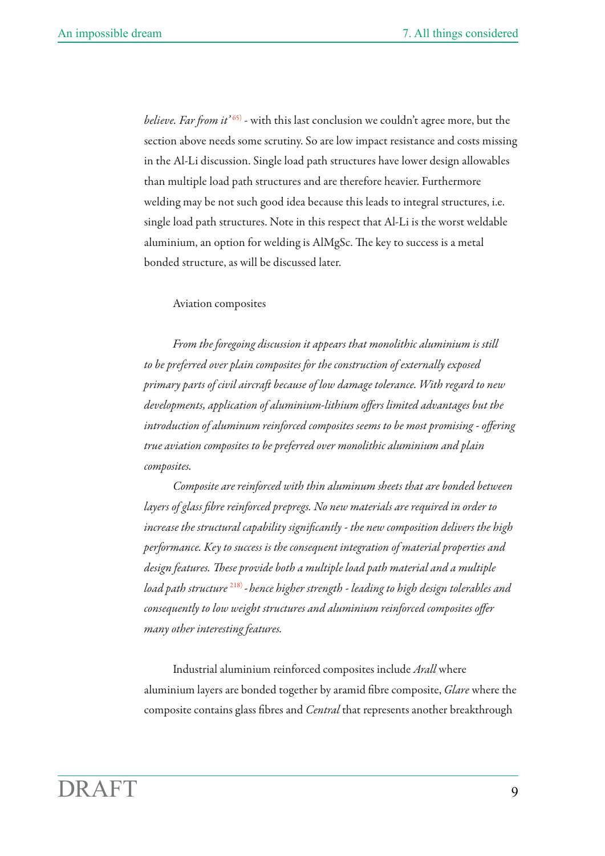*believe. Far from it'* <sup>65)</sup> - with this last conclusion we couldn't agree more, but the section above needs some scrutiny. So are low impact resistance and costs missing in the Al-Li discussion. Single load path structures have lower design allowables than multiple load path structures and are therefore heavier. Furthermore welding may be not such good idea because this leads to integral structures, i.e. single load path structures. Note in this respect that Al-Li is the worst weldable aluminium, an option for welding is AlMgSc. The key to success is a metal bonded structure, as will be discussed later.

### Aviation composites

*From the foregoing discussion it appears that monolithic aluminium is still to be preferred over plain composites for the construction of externally exposed*  primary parts of civil aircraft because of low damage tolerance. With regard to new *developments, application of aluminium-lithium offers limited advantages but the introduction of aluminum reinforced composites seems to be most promising - offering true aviation composites to be preferred over monolithic aluminium and plain composites.* 

*Composite are reinforced with thin aluminum sheets that are bonded between layers of glass fibre reinforced prepregs. No new materials are required in order to increase the structural capability significantly - the new composition delivers the high performance. Key to success is the consequent integration of material properties and*  design features. These provide both a multiple load path material and a multiple *load path structure* 218) *-hence higher strength - leading to high design tolerables and consequently to low weight structures and aluminium reinforced composites offer many other interesting features.* 

Industrial aluminium reinforced composites include *Arall* where aluminium layers are bonded together by aramid fibre composite, *Glare* where the composite contains glass fibres and *Central* that represents another breakthrough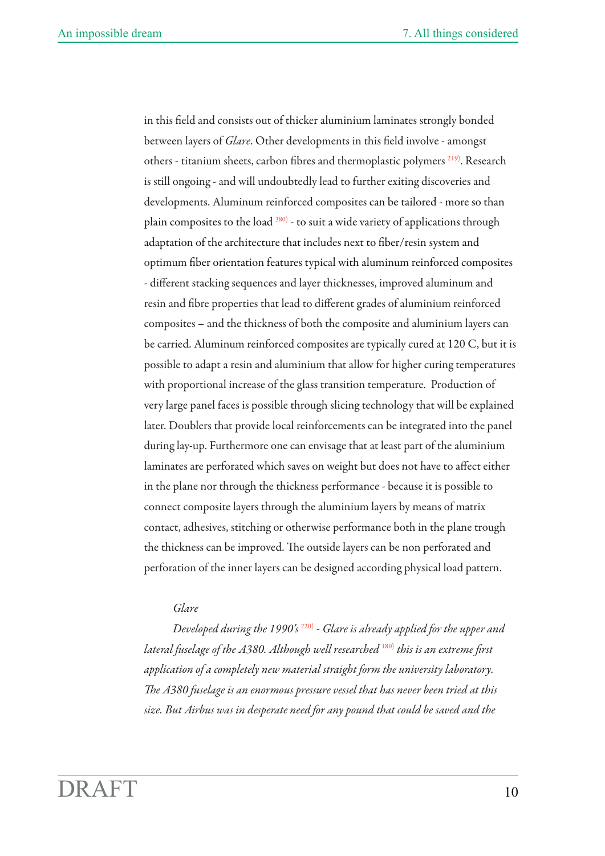in this field and consists out of thicker aluminium laminates strongly bonded between layers of *Glare*. Other developments in this field involve - amongst others - titanium sheets, carbon fibres and thermoplastic polymers 219). Research is still ongoing - and will undoubtedly lead to further exiting discoveries and developments. Aluminum reinforced composites can be tailored - more so than plain composites to the load 380) - to suit a wide variety of applications through adaptation of the architecture that includes next to fiber/resin system and optimum fiber orientation features typical with aluminum reinforced composites - different stacking sequences and layer thicknesses, improved aluminum and resin and fibre properties that lead to different grades of aluminium reinforced composites – and the thickness of both the composite and aluminium layers can be carried. Aluminum reinforced composites are typically cured at 120 C, but it is possible to adapt a resin and aluminium that allow for higher curing temperatures with proportional increase of the glass transition temperature. Production of very large panel faces is possible through slicing technology that will be explained later. Doublers that provide local reinforcements can be integrated into the panel during lay-up. Furthermore one can envisage that at least part of the aluminium laminates are perforated which saves on weight but does not have to affect either in the plane nor through the thickness performance - because it is possible to connect composite layers through the aluminium layers by means of matrix contact, adhesives, stitching or otherwise performance both in the plane trough the thickness can be improved. The outside layers can be non perforated and perforation of the inner layers can be designed according physical load pattern.

## *Glare*

*Developed during the 1990's* 220) *- Glare is already applied for the upper and lateral fuselage of the A380. Although well researched* 180) *this is an extreme first application of a completely new material straight form the university laboratory. e A380 fuselage is an enormous pressure vessel that has never been tried at this size. But Airbus was in desperate need for any pound that could be saved and the*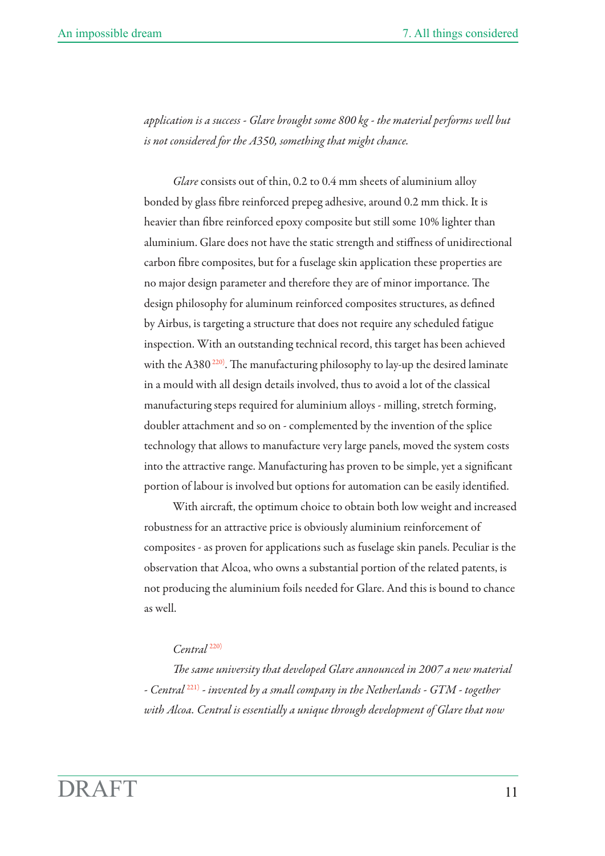*application is a success - Glare brought some 800 kg - the material performs well but is not considered for the A350, something that might chance.* 

*Glare* consists out of thin, 0.2 to 0.4 mm sheets of aluminium alloy bonded by glass fibre reinforced prepeg adhesive, around 0.2 mm thick. It is heavier than fibre reinforced epoxy composite but still some 10% lighter than aluminium. Glare does not have the static strength and stiffness of unidirectional carbon fibre composites, but for a fuselage skin application these properties are no major design parameter and therefore they are of minor importance. The design philosophy for aluminum reinforced composites structures, as defined by Airbus, is targeting a structure that does not require any scheduled fatigue inspection. With an outstanding technical record, this target has been achieved with the A380 $^{220}$ . The manufacturing philosophy to lay-up the desired laminate in a mould with all design details involved, thus to avoid a lot of the classical manufacturing steps required for aluminium alloys - milling, stretch forming, doubler attachment and so on - complemented by the invention of the splice technology that allows to manufacture very large panels, moved the system costs into the attractive range. Manufacturing has proven to be simple, yet a significant portion of labour is involved but options for automation can be easily identified.

With aircraft, the optimum choice to obtain both low weight and increased robustness for an attractive price is obviously aluminium reinforcement of composites - as proven for applications such as fuselage skin panels. Peculiar is the observation that Alcoa, who owns a substantial portion of the related patents, is not producing the aluminium foils needed for Glare. And this is bound to chance as well.

# *Central* 220)

*e same university that developed Glare announced in 2007 a new material - Central*<sup>221)</sup> - invented by a small company in the Netherlands - GTM - together *with Alcoa. Central is essentially a unique through development of Glare that now*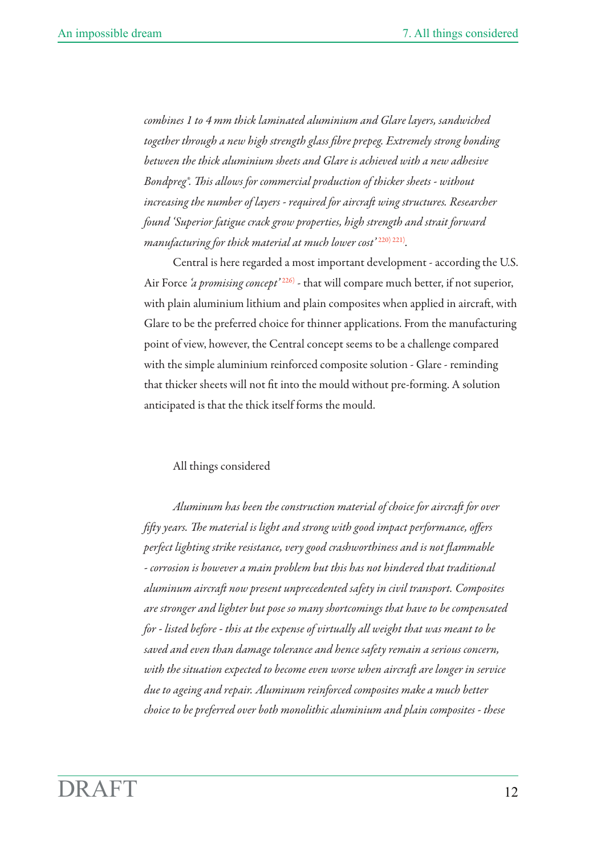*combines 1 to 4 mm thick laminated aluminium and Glare layers, sandwiched together through a new high strength glass fibre prepeg. Extremely strong bonding between the thick aluminium sheets and Glare is achieved with a new adhesive Bondpreg<sup>®</sup>. This allows for commercial production of thicker sheets - without increasing the number of layers - required for aircraft wing structures. Researcher found 'Superior fatigue crack grow properties, high strength and strait forward manufacturing for thick material at much lower cost*<sup>2220</sup>)<sup>221</sup>.

Central is here regarded a most important development - according the U.S. Air Force *'a promising concept'* 226) - that will compare much better, if not superior, with plain aluminium lithium and plain composites when applied in aircraft, with Glare to be the preferred choice for thinner applications. From the manufacturing point of view, however, the Central concept seems to be a challenge compared with the simple aluminium reinforced composite solution - Glare - reminding that thicker sheets will not fit into the mould without pre-forming. A solution anticipated is that the thick itself forms the mould.

### All things considered

Aluminum has been the construction material of choice for aircraft for over *fiy years. e material is light and strong with good impact performance, offers perfect lighting strike resistance, very good crashworthiness and is not flammable - corrosion is however a main problem but this has not hindered that traditional*  aluminum aircraft now present unprecedented safety in civil transport. Composites *are stronger and lighter but pose so many shortcomings that have to be compensated for - listed before - this at the expense of virtually all weight that was meant to be saved and even than damage tolerance and hence safety remain a serious concern,*  with the situation expected to become even worse when aircraft are longer in service *due to ageing and repair. Aluminum reinforced composites make a much better choice to be preferred over both monolithic aluminium and plain composites - these*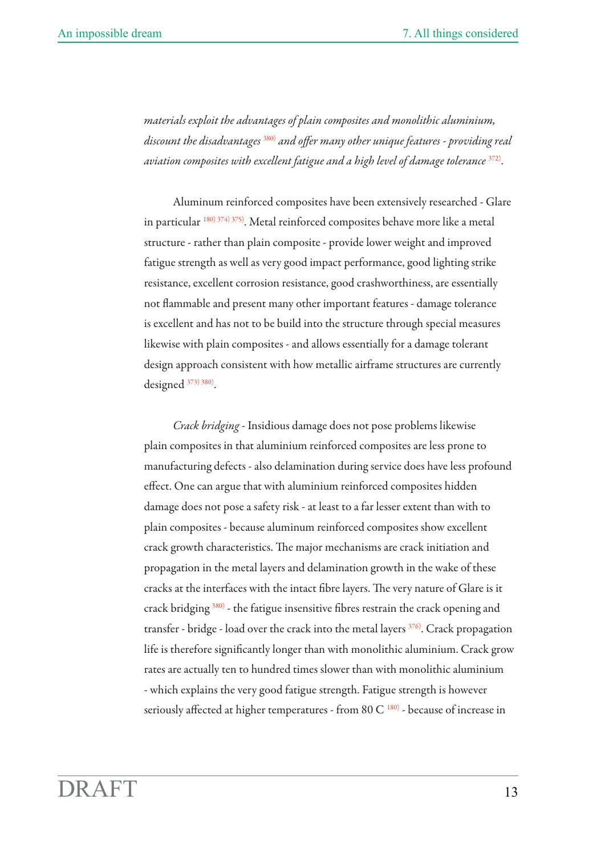*materials exploit the advantages of plain composites and monolithic aluminium, discount the disadvantages* 380) *and offer many other unique features - proiding real aviation composites with excellent fatigue and a high level of damage tolerance* 372).

Aluminum reinforced composites have been extensively researched - Glare in particular 180) 374) 375). Metal reinforced composites behave more like a metal structure - rather than plain composite - provide lower weight and improved fatigue strength as well as very good impact performance, good lighting strike resistance, excellent corrosion resistance, good crashworthiness, are essentially not flammable and present many other important features - damage tolerance is excellent and has not to be build into the structure through special measures likewise with plain composites - and allows essentially for a damage tolerant design approach consistent with how metallic airframe structures are currently designed 373) 380).

*Crack bridging* - Insidious damage does not pose problems likewise plain composites in that aluminium reinforced composites are less prone to manufacturing defects - also delamination during service does have less profound effect. One can argue that with aluminium reinforced composites hidden damage does not pose a safety risk - at least to a far lesser extent than with to plain composites - because aluminum reinforced composites show excellent crack growth characteristics. The major mechanisms are crack initiation and propagation in the metal layers and delamination growth in the wake of these cracks at the interfaces with the intact fibre layers. The very nature of Glare is it crack bridging 380) - the fatigue insensitive fibres restrain the crack opening and transfer - bridge - load over the crack into the metal layers 376). Crack propagation life is therefore significantly longer than with monolithic aluminium. Crack grow rates are actually ten to hundred times slower than with monolithic aluminium - which explains the very good fatigue strength. Fatigue strength is however seriously affected at higher temperatures - from 80 C  $^{180)}$  - because of increase in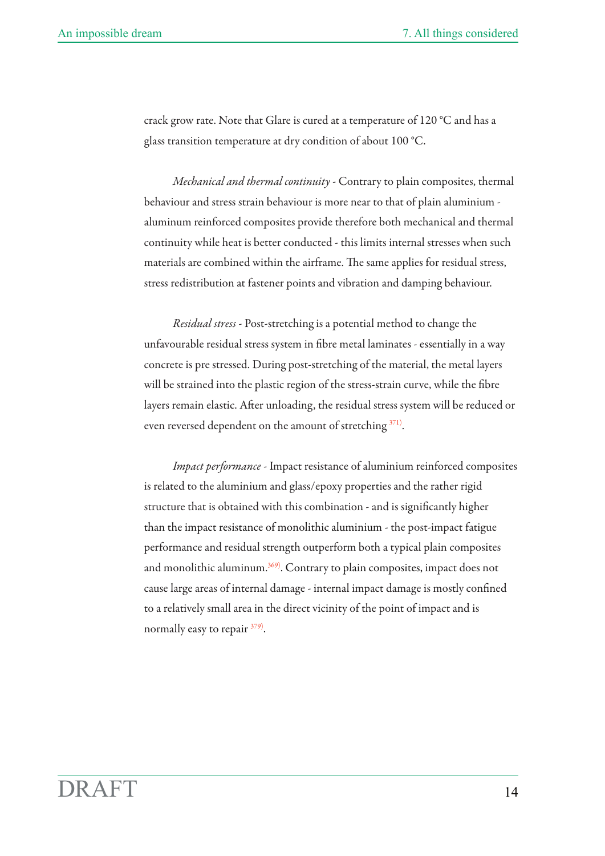crack grow rate. Note that Glare is cured at a temperature of 120 °C and has a glass transition temperature at dry condition of about 100 °C.

*Mechanical and thermal continuity* - Contrary to plain composites, thermal behaviour and stress strain behaviour is more near to that of plain aluminium aluminum reinforced composites provide therefore both mechanical and thermal continuity while heat is better conducted - this limits internal stresses when such materials are combined within the airframe. The same applies for residual stress, stress redistribution at fastener points and vibration and damping behaviour.

*Residual stress* - Post-stretching is a potential method to change the unfavourable residual stress system in fibre metal laminates - essentially in a way concrete is pre stressed. During post-stretching of the material, the metal layers will be strained into the plastic region of the stress-strain curve, while the fibre layers remain elastic. After unloading, the residual stress system will be reduced or even reversed dependent on the amount of stretching  $371$ .

*Impact performance* - Impact resistance of aluminium reinforced composites is related to the aluminium and glass/epoxy properties and the rather rigid structure that is obtained with this combination - and is significantly higher than the impact resistance of monolithic aluminium - the post-impact fatigue performance and residual strength outperform both a typical plain composites and monolithic aluminum. $369$ . Contrary to plain composites, impact does not cause large areas of internal damage - internal impact damage is mostly confined to a relatively small area in the direct vicinity of the point of impact and is normally easy to repair  $379$ .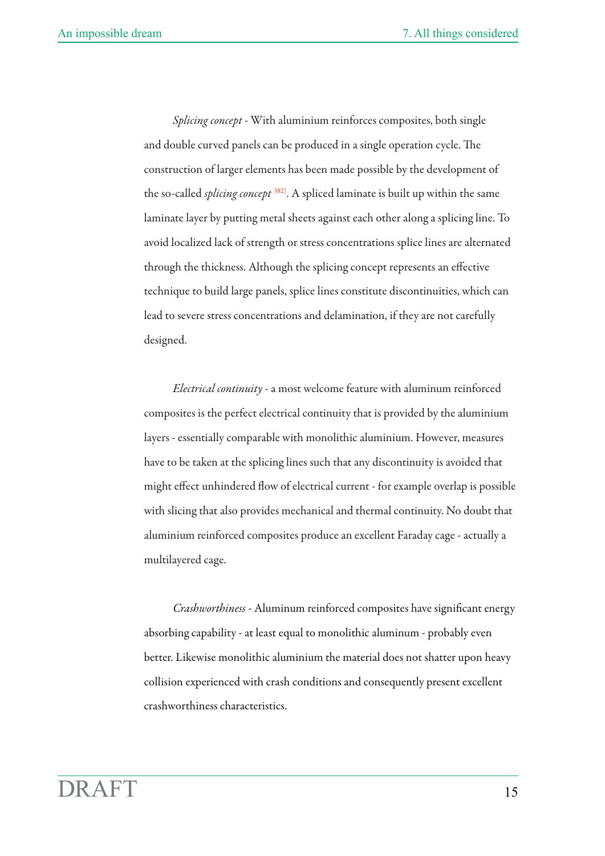*Splicing concept* - With aluminium reinforces composites, both single and double curved panels can be produced in a single operation cycle. The construction of larger elements has been made possible by the development of the so-called *splicing concept* 382). A spliced laminate is built up within the same laminate layer by putting metal sheets against each other along a splicing line. To avoid localized lack of strength or stress concentrations splice lines are alternated through the thickness. Although the splicing concept represents an effective technique to build large panels, splice lines constitute discontinuities, which can lead to severe stress concentrations and delamination, if they are not carefully designed.

*Electrical continuity* - a most welcome feature with aluminum reinforced composites is the perfect electrical continuity that is provided by the aluminium layers - essentially comparable with monolithic aluminium. However, measures have to be taken at the splicing lines such that any discontinuity is avoided that might effect unhindered flow of electrical current - for example overlap is possible with slicing that also provides mechanical and thermal continuity. No doubt that aluminium reinforced composites produce an excellent Faraday cage - actually a multilayered cage.

*Crashworthiness -* Aluminum reinforced composites have significant energy absorbing capability - at least equal to monolithic aluminum - probably even better. Likewise monolithic aluminium the material does not shatter upon heavy collision experienced with crash conditions and consequently present excellent crashworthiness characteristics.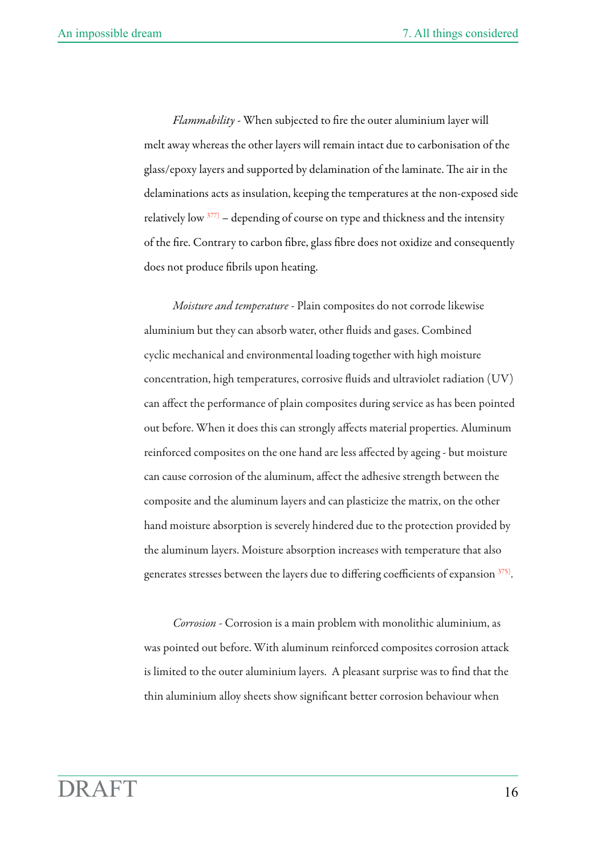*Flammability* - When subjected to fire the outer aluminium layer will melt away whereas the other layers will remain intact due to carbonisation of the glass/epoxy layers and supported by delamination of the laminate. The air in the delaminations acts as insulation, keeping the temperatures at the non-exposed side relatively low  $377$  – depending of course on type and thickness and the intensity of the fire. Contrary to carbon fibre, glass fibre does not oxidize and consequently does not produce fibrils upon heating.

*Moisture and temperature* - Plain composites do not corrode likewise aluminium but they can absorb water, other fluids and gases. Combined cyclic mechanical and environmental loading together with high moisture concentration, high temperatures, corrosive fluids and ultraviolet radiation (UV) can affect the performance of plain composites during service as has been pointed out before. When it does this can strongly affects material properties. Aluminum reinforced composites on the one hand are less affected by ageing - but moisture can cause corrosion of the aluminum, affect the adhesive strength between the composite and the aluminum layers and can plasticize the matrix, on the other hand moisture absorption is severely hindered due to the protection provided by the aluminum layers. Moisture absorption increases with temperature that also generates stresses between the layers due to differing coefficients of expansion  $375$ .

*Corrosion* - Corrosion is a main problem with monolithic aluminium, as was pointed out before. With aluminum reinforced composites corrosion attack is limited to the outer aluminium layers. A pleasant surprise was to find that the thin aluminium alloy sheets show significant better corrosion behaviour when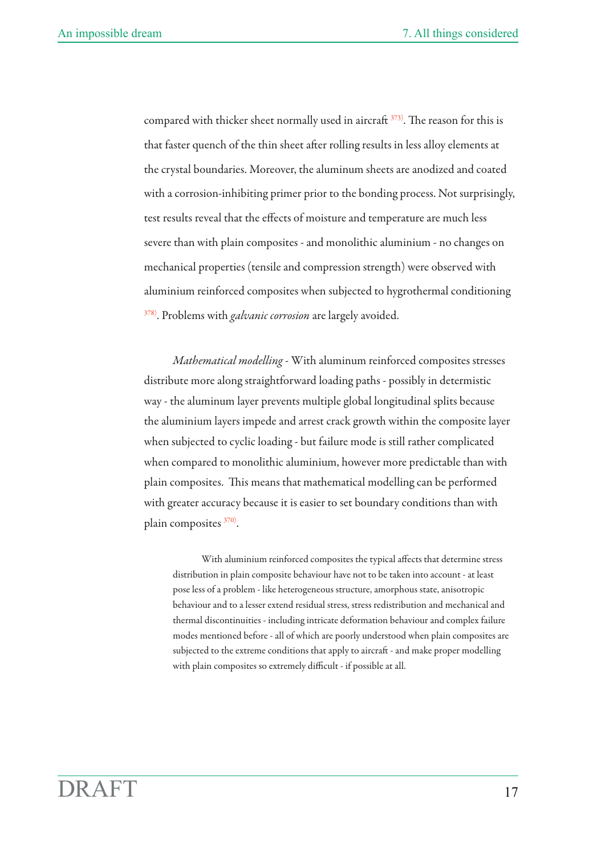compared with thicker sheet normally used in aircraft  $373$ ). The reason for this is that faster quench of the thin sheet after rolling results in less alloy elements at the crystal boundaries. Moreover, the aluminum sheets are anodized and coated with a corrosion-inhibiting primer prior to the bonding process. Not surprisingly, test results reveal that the effects of moisture and temperature are much less severe than with plain composites - and monolithic aluminium - no changes on mechanical properties (tensile and compression strength) were observed with aluminium reinforced composites when subjected to hygrothermal conditioning <sup>378)</sup>. Problems with *galvanic corrosion* are largely avoided.

*Mathematical modelling* - With aluminum reinforced composites stresses distribute more along straightforward loading paths - possibly in determistic way - the aluminum layer prevents multiple global longitudinal splits because the aluminium layers impede and arrest crack growth within the composite layer when subjected to cyclic loading - but failure mode is still rather complicated when compared to monolithic aluminium, however more predictable than with plain composites. This means that mathematical modelling can be performed with greater accuracy because it is easier to set boundary conditions than with plain composites 370).

With aluminium reinforced composites the typical affects that determine stress distribution in plain composite behaviour have not to be taken into account - at least pose less of a problem - like heterogeneous structure, amorphous state, anisotropic behaviour and to a lesser extend residual stress, stress redistribution and mechanical and thermal discontinuities - including intricate deformation behaviour and complex failure modes mentioned before - all of which are poorly understood when plain composites are subjected to the extreme conditions that apply to aircraft - and make proper modelling with plain composites so extremely difficult - if possible at all.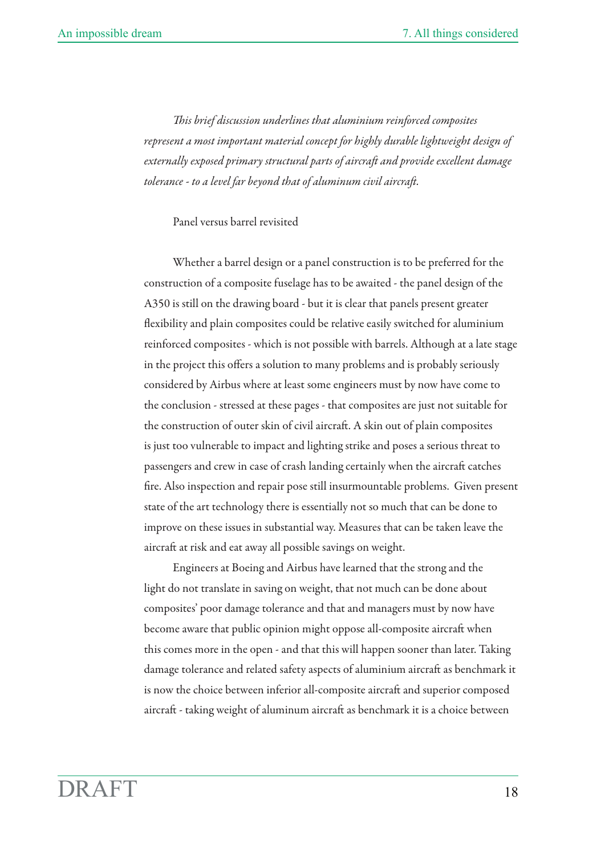*is brief discussion underlines that aluminium reinforced composites represent a most important material concept for highly durable lightweight design of externally exposed primary structural parts of aircraft and provide excellent damage* tolerance - to a level far beyond that of aluminum civil aircraft.

Panel versus barrel revisited

Whether a barrel design or a panel construction is to be preferred for the construction of a composite fuselage has to be awaited - the panel design of the A350 is still on the drawing board - but it is clear that panels present greater flexibility and plain composites could be relative easily switched for aluminium reinforced composites - which is not possible with barrels. Although at a late stage in the project this offers a solution to many problems and is probably seriously considered by Airbus where at least some engineers must by now have come to the conclusion - stressed at these pages - that composites are just not suitable for the construction of outer skin of civil aircraft. A skin out of plain composites is just too vulnerable to impact and lighting strike and poses a serious threat to passengers and crew in case of crash landing certainly when the aircraft catches fire. Also inspection and repair pose still insurmountable problems. Given present state of the art technology there is essentially not so much that can be done to improve on these issues in substantial way. Measures that can be taken leave the aircraft at risk and eat away all possible savings on weight.

Engineers at Boeing and Airbus have learned that the strong and the light do not translate in saving on weight, that not much can be done about composites' poor damage tolerance and that and managers must by now have become aware that public opinion might oppose all-composite aircraft when this comes more in the open - and that this will happen sooner than later. Taking damage tolerance and related safety aspects of aluminium aircraft as benchmark it is now the choice between inferior all-composite aircraft and superior composed aircraft - taking weight of aluminum aircraft as benchmark it is a choice between